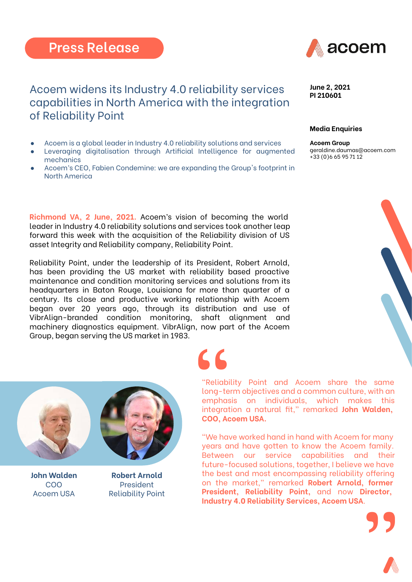

## Acoem widens its Industry 4.0 reliability services capabilities in North America with the integration of Reliability Point

- Acoem is a global leader in Industry 4.0 reliability solutions and services
- Leveraging digitalisation through Artificial Intelligence for augmented mechanics
- Acoem's CEO, Fabien Condemine: we are expanding the Group's footprint in North America

**Richmond VA, 2 June, 2021.** Acoem's vision of becoming the world leader in Industry 4.0 reliability solutions and services took another leap forward this week with the acquisition of the Reliability division of US asset Integrity and Reliability company, Reliability Point.

Reliability Point, under the leadership of its President, Robert Arnold, has been providing the US market with reliability based proactive maintenance and condition monitoring services and solutions from its headquarters in Baton Rouge, Louisiana for more than quarter of a century. Its close and productive working relationship with Acoem began over 20 years ago, through its distribution and use of VibrAlign-branded condition monitoring, shaft alignment and machinery diagnostics equipment. VibrAlign, now part of the Acoem Group, began serving the US market in 1983.



## **Media Enquiries**

**Acoem Group**  [geraldine.daumas@acoem.com](mailto:geraldine.daumas@acoem.com) +33 (0)6 65 95 71 12





**John Walden** COO Acoem USA



**Robert Arnold** President Reliability Point

"Reliability Point and Acoem share the same long-term objectives and a common culture, with an emphasis on individuals, which makes this integration a natural fit," remarked **John Walden, COO, Acoem USA. S**<br>
"Reliability<br>
long-term<br>
emphasis<br>
integration

"We have worked hand in hand with Acoem for many years and have gotten to know the Acoem family. Between our service capabilities and their future-focused solutions, together, I believe we have the best and most encompassing reliability offering on the market," remarked **Robert Arnold, former President, Reliability Point,** and now **Director, Industry 4.0 Reliability Services, Acoem USA**.